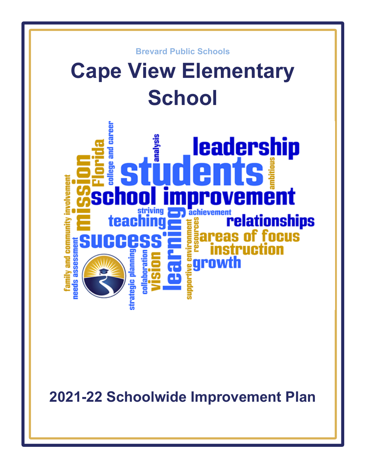

**2021-22 Schoolwide Improvement Plan**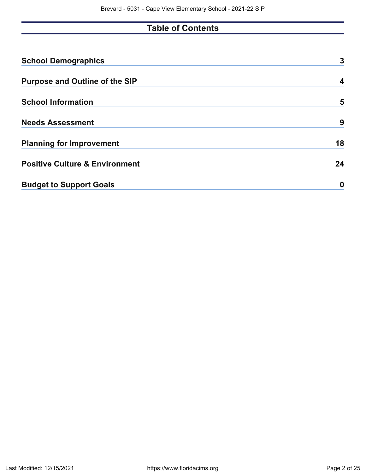# **Table of Contents**

| <b>School Demographics</b>                | 3  |
|-------------------------------------------|----|
| <b>Purpose and Outline of the SIP</b>     | 4  |
| <b>School Information</b>                 | 5  |
| <b>Needs Assessment</b>                   | 9  |
| <b>Planning for Improvement</b>           | 18 |
| <b>Positive Culture &amp; Environment</b> | 24 |
| <b>Budget to Support Goals</b>            | O  |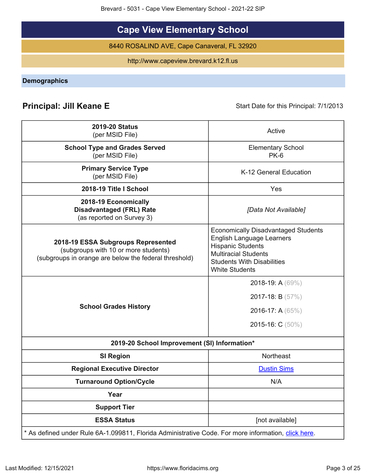Brevard - 5031 - Cape View Elementary School - 2021-22 SIP

# **Cape View Elementary School**

8440 ROSALIND AVE, Cape Canaveral, FL 32920

http://www.capeview.brevard.k12.fl.us

<span id="page-2-0"></span>**Demographics**

# **Principal: Jill Keane E** Start Date for this Principal: 7/1/2013

| <b>2019-20 Status</b><br>(per MSID File)                                                                                            | Active                                                                                                                                                                                                  |
|-------------------------------------------------------------------------------------------------------------------------------------|---------------------------------------------------------------------------------------------------------------------------------------------------------------------------------------------------------|
| <b>School Type and Grades Served</b><br>(per MSID File)                                                                             | <b>Elementary School</b><br>$PK-6$                                                                                                                                                                      |
| <b>Primary Service Type</b><br>(per MSID File)                                                                                      | K-12 General Education                                                                                                                                                                                  |
| 2018-19 Title I School                                                                                                              | Yes                                                                                                                                                                                                     |
| 2018-19 Economically<br><b>Disadvantaged (FRL) Rate</b><br>(as reported on Survey 3)                                                | [Data Not Available]                                                                                                                                                                                    |
| 2018-19 ESSA Subgroups Represented<br>(subgroups with 10 or more students)<br>(subgroups in orange are below the federal threshold) | <b>Economically Disadvantaged Students</b><br><b>English Language Learners</b><br><b>Hispanic Students</b><br><b>Multiracial Students</b><br><b>Students With Disabilities</b><br><b>White Students</b> |
| <b>School Grades History</b>                                                                                                        | 2018-19: A $(69\%)$<br>2017-18: B $(57%)$<br>2016-17: A (65%)<br>2015-16: C (50%)                                                                                                                       |
| 2019-20 School Improvement (SI) Information*                                                                                        |                                                                                                                                                                                                         |
| <b>SI Region</b>                                                                                                                    | <b>Northeast</b>                                                                                                                                                                                        |
| <b>Regional Executive Director</b>                                                                                                  | <b>Dustin Sims</b>                                                                                                                                                                                      |
| <b>Turnaround Option/Cycle</b>                                                                                                      | N/A                                                                                                                                                                                                     |
| Year                                                                                                                                |                                                                                                                                                                                                         |
| <b>Support Tier</b>                                                                                                                 |                                                                                                                                                                                                         |
| <b>ESSA Status</b>                                                                                                                  | [not available]                                                                                                                                                                                         |
| * As defined under Rule 6A-1.099811, Florida Administrative Code. For more information, click here.                                 |                                                                                                                                                                                                         |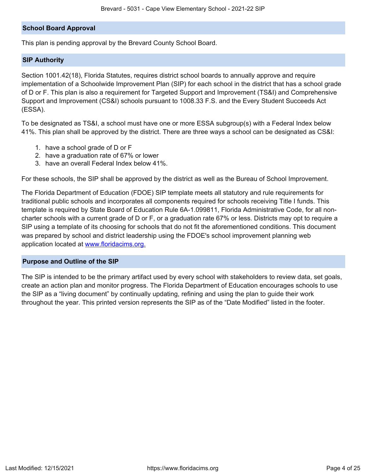## **School Board Approval**

This plan is pending approval by the Brevard County School Board.

## **SIP Authority**

Section 1001.42(18), Florida Statutes, requires district school boards to annually approve and require implementation of a Schoolwide Improvement Plan (SIP) for each school in the district that has a school grade of D or F. This plan is also a requirement for Targeted Support and Improvement (TS&I) and Comprehensive Support and Improvement (CS&I) schools pursuant to 1008.33 F.S. and the Every Student Succeeds Act (ESSA).

To be designated as TS&I, a school must have one or more ESSA subgroup(s) with a Federal Index below 41%. This plan shall be approved by the district. There are three ways a school can be designated as CS&I:

- 1. have a school grade of D or F
- 2. have a graduation rate of 67% or lower
- 3. have an overall Federal Index below 41%.

For these schools, the SIP shall be approved by the district as well as the Bureau of School Improvement.

The Florida Department of Education (FDOE) SIP template meets all statutory and rule requirements for traditional public schools and incorporates all components required for schools receiving Title I funds. This template is required by State Board of Education Rule 6A-1.099811, Florida Administrative Code, for all noncharter schools with a current grade of D or F, or a graduation rate 67% or less. Districts may opt to require a SIP using a template of its choosing for schools that do not fit the aforementioned conditions. This document was prepared by school and district leadership using the FDOE's school improvement planning web application located at [www.floridacims.org.](https://www.floridacims.org)

## <span id="page-3-0"></span>**Purpose and Outline of the SIP**

The SIP is intended to be the primary artifact used by every school with stakeholders to review data, set goals, create an action plan and monitor progress. The Florida Department of Education encourages schools to use the SIP as a "living document" by continually updating, refining and using the plan to guide their work throughout the year. This printed version represents the SIP as of the "Date Modified" listed in the footer.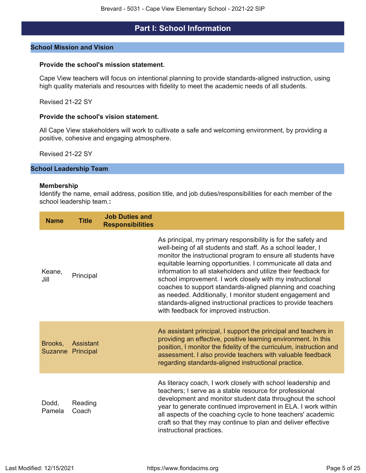## **Part I: School Information**

#### <span id="page-4-0"></span>**School Mission and Vision**

#### **Provide the school's mission statement.**

Cape View teachers will focus on intentional planning to provide standards-aligned instruction, using high quality materials and resources with fidelity to meet the academic needs of all students.

Revised 21-22 SY

#### **Provide the school's vision statement.**

All Cape View stakeholders will work to cultivate a safe and welcoming environment, by providing a positive, cohesive and engaging atmosphere.

Revised 21-22 SY

## **School Leadership Team**

#### **Membership**

Identify the name, email address, position title, and job duties/responsibilities for each member of the school leadership team.**:**

| <b>Name</b>     | <b>Title</b>                   | <b>Job Duties and</b><br><b>Responsibilities</b> |                                                                                                                                                                                                                                                                                                                                                                                                                                                                                                                                                                                                                                    |
|-----------------|--------------------------------|--------------------------------------------------|------------------------------------------------------------------------------------------------------------------------------------------------------------------------------------------------------------------------------------------------------------------------------------------------------------------------------------------------------------------------------------------------------------------------------------------------------------------------------------------------------------------------------------------------------------------------------------------------------------------------------------|
| Keane,<br>Jill  | Principal                      |                                                  | As principal, my primary responsibility is for the safety and<br>well-being of all students and staff. As a school leader, I<br>monitor the instructional program to ensure all students have<br>equitable learning opportunities. I communicate all data and<br>information to all stakeholders and utilize their feedback for<br>school improvement. I work closely with my instructional<br>coaches to support standards-aligned planning and coaching<br>as needed. Additionally, I monitor student engagement and<br>standards-aligned instructional practices to provide teachers<br>with feedback for improved instruction. |
| Brooks.         | Assistant<br>Suzanne Principal |                                                  | As assistant principal, I support the principal and teachers in<br>providing an effective, positive learning environment. In this<br>position, I monitor the fidelity of the curriculum, instruction and<br>assessment. I also provide teachers with valuable feedback<br>regarding standards-aligned instructional practice.                                                                                                                                                                                                                                                                                                      |
| Dodd,<br>Pamela | Reading<br>Coach               |                                                  | As literacy coach, I work closely with school leadership and<br>teachers; I serve as a stable resource for professional<br>development and monitor student data throughout the school<br>year to generate continued improvement in ELA. I work within<br>all aspects of the coaching cycle to hone teachers' academic<br>craft so that they may continue to plan and deliver effective<br>instructional practices.                                                                                                                                                                                                                 |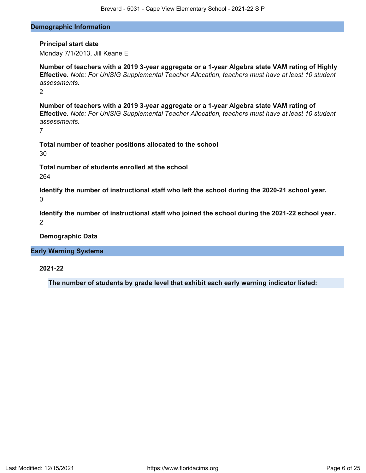#### **Demographic Information**

## **Principal start date**

Monday 7/1/2013, Jill Keane E

**Number of teachers with a 2019 3-year aggregate or a 1-year Algebra state VAM rating of Highly Effective.** *Note: For UniSIG Supplemental Teacher Allocation, teachers must have at least 10 student assessments.*

2

**Number of teachers with a 2019 3-year aggregate or a 1-year Algebra state VAM rating of Effective.** *Note: For UniSIG Supplemental Teacher Allocation, teachers must have at least 10 student assessments.*

7

**Total number of teacher positions allocated to the school** 30

**Total number of students enrolled at the school** 264

**Identify the number of instructional staff who left the school during the 2020-21 school year.**  $\Omega$ 

**Identify the number of instructional staff who joined the school during the 2021-22 school year.** 2

**Demographic Data**

## **Early Warning Systems**

**2021-22**

**The number of students by grade level that exhibit each early warning indicator listed:**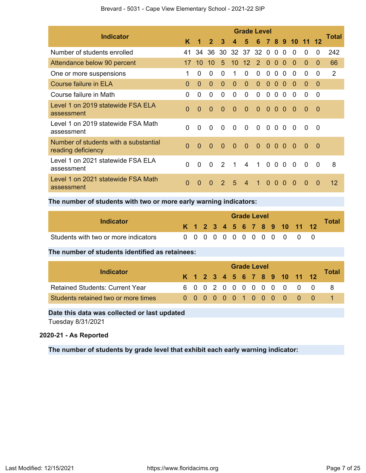| <b>Indicator</b>                                            |                |              |              |               |             | <b>Grade Level</b> |                |                |                |          |            |          |                | Total |
|-------------------------------------------------------------|----------------|--------------|--------------|---------------|-------------|--------------------|----------------|----------------|----------------|----------|------------|----------|----------------|-------|
|                                                             | K              | 1            | $\mathbf{2}$ | $\mathbf{3}$  | $\mathbf 4$ | 5                  |                |                |                |          | 6 7 8 9 10 | -11      |                |       |
| Number of students enrolled                                 | 41             | 34           | 36           | 30            |             | 32 37 32 0         |                |                | $\mathbf{0}$   | $\Omega$ | $\Omega$   | 0        | $\Omega$       | 242   |
| Attendance below 90 percent                                 | 17             | 10           | 10           | 5             | 10          | $12 \overline{ }$  | 2              | $\Omega$       | $\Omega$       | $\Omega$ | $\Omega$   | $\Omega$ | $\Omega$       | 66    |
| One or more suspensions                                     | 1              | $\Omega$     | 0            | $\Omega$      | 1           | $\Omega$           | $\Omega$       | $\Omega$       | $\Omega$       | $\Omega$ | $\Omega$   | 0        | 0              | 2     |
| <b>Course failure in ELA</b>                                | $\Omega$       | $\Omega$     | $\Omega$     | $\Omega$      | $\Omega$    | $\Omega$           | $\mathbf{0}$   | $\mathbf 0$    | $\Omega$       | $\Omega$ | $\Omega$   | $\Omega$ | $\Omega$       |       |
| Course failure in Math                                      | $\Omega$       | $\Omega$     | $\Omega$     | $\Omega$      | $\Omega$    | $\Omega$           | $\Omega$       | $\Omega$       | $\Omega$       | $\Omega$ | $\Omega$   | 0        | $\Omega$       |       |
| Level 1 on 2019 statewide FSA ELA<br>assessment             | $\overline{0}$ | $\Omega$     | $\Omega$     | $\Omega$      | $\Omega$    | $\overline{0}$     | $\overline{0}$ |                | 0 <sub>0</sub> | $\Omega$ | - 0        | $\Omega$ | $\overline{0}$ |       |
| Level 1 on 2019 statewide FSA Math<br>assessment            | $\mathbf{0}$   | $\mathbf{0}$ | $\Omega$     | $\Omega$      | $\Omega$    | $\overline{0}$     | $\mathbf 0$    |                | 0 <sub>0</sub> | $\Omega$ | $\Omega$   | $\Omega$ | $\Omega$       |       |
| Number of students with a substantial<br>reading deficiency | $\Omega$       | $\Omega$     | $\Omega$     | $\Omega$      | $\Omega$    | $\Omega$           | $\Omega$       | $\Omega$       | $\Omega$       | $\Omega$ | $\Omega$   | $\Omega$ | $\Omega$       |       |
| Level 1 on 2021 statewide FSA ELA<br>assessment             | $\Omega$       | $\Omega$     | $\Omega$     | $\mathcal{P}$ | 1           | $\overline{4}$     | 1              | $\overline{0}$ | $\Omega$       | $\Omega$ | $\Omega$   | $\Omega$ | $\overline{0}$ | 8     |
| Level 1 on 2021 statewide FSA Math<br>assessment            | $\Omega$       | 0            | 0            | 2             | 5           | $\overline{4}$     | 1.             | $\Omega$       | 0              | $\Omega$ | 0          | 0        | $\Omega$       | 12    |

## Brevard - 5031 - Cape View Elementary School - 2021-22 SIP

## **The number of students with two or more early warning indicators:**

| Indicator                            |  |  |  | <b>Grade Level</b> |  |  |                              | <b>Total</b> |
|--------------------------------------|--|--|--|--------------------|--|--|------------------------------|--------------|
|                                      |  |  |  |                    |  |  | K 1 2 3 4 5 6 7 8 9 10 11 12 |              |
| Students with two or more indicators |  |  |  |                    |  |  | 0 0 0 0 0 0 0 0 0 0 0 0 0    |              |

#### **The number of students identified as retainees:**

|                                        |  |  |  |  |  | <b>Grade Level</b>           |  |       |  |  |  |  |  |  |  |  |  |  |  |  |
|----------------------------------------|--|--|--|--|--|------------------------------|--|-------|--|--|--|--|--|--|--|--|--|--|--|--|
| <b>Indicator</b>                       |  |  |  |  |  | K 1 2 3 4 5 6 7 8 9 10 11 12 |  | Total |  |  |  |  |  |  |  |  |  |  |  |  |
| <b>Retained Students: Current Year</b> |  |  |  |  |  | 6 0 0 2 0 0 0 0 0 0 0 0 0    |  |       |  |  |  |  |  |  |  |  |  |  |  |  |
| Students retained two or more times    |  |  |  |  |  | 0000001000000                |  |       |  |  |  |  |  |  |  |  |  |  |  |  |

## **Date this data was collected or last updated**

Tuesday 8/31/2021

## **2020-21 - As Reported**

**The number of students by grade level that exhibit each early warning indicator:**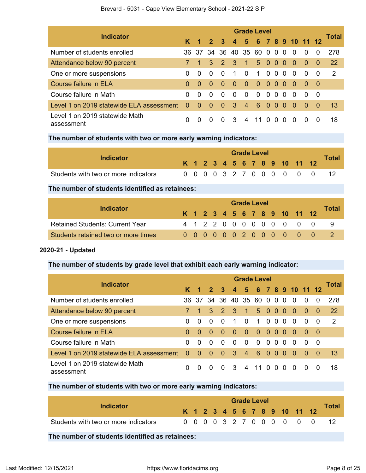|                                              | <b>Grade Level</b> |             |              |                         |                         |                      |                |                         |                |          |                          |              |          |           |  |
|----------------------------------------------|--------------------|-------------|--------------|-------------------------|-------------------------|----------------------|----------------|-------------------------|----------------|----------|--------------------------|--------------|----------|-----------|--|
| <b>Indicator</b>                             |                    | $1 \quad 2$ |              | $\overline{\mathbf{3}}$ | $\overline{4}$          |                      |                |                         |                |          | 5 6 7 8 9 10 11 12       |              |          | Total     |  |
| Number of students enrolled                  | 36.                |             |              |                         | 37 34 36 40 35 60 0 0 0 |                      |                |                         |                |          | $\Omega$                 | $\Omega$     | $\Omega$ | 278       |  |
| Attendance below 90 percent                  |                    |             | $\mathbf{3}$ | $\mathbf{R}$            | $\overline{3}$          | $\blacktriangleleft$ | 5 0 0 0        |                         |                |          | $\blacktriangleleft 0$ - | $\Omega$     | - 0      | <b>22</b> |  |
| One or more suspensions                      | 0                  | $\Omega$    | $\Omega$     | $\Omega$                | 1                       | $\Omega$             | $\mathbf{1}$   |                         | $0\,0\,0$      |          | $\Omega$                 | $\Omega$     | - 0      | -2        |  |
| Course failure in ELA                        | 0                  | $\Omega$    | $\Omega$     | - 0                     | -0                      | - 0                  | $\overline{0}$ |                         | 000            |          | - 0                      | - 0          | - 0      |           |  |
| Course failure in Math                       | 0                  | $\Omega$    | $\Omega$     | $\Omega$                | $\Omega$                | $\Omega$             | $\Omega$       |                         | 0 <sub>0</sub> | $\Omega$ | $\Omega$                 | <sup>0</sup> | - 0      |           |  |
| Level 1 on 2019 statewide ELA assessment     | $\Omega$           | $\Omega$    | $\Omega$     | $\Omega$                | 3                       | $\overline{4}$       | 6              | $\overline{\mathbf{0}}$ | $\Omega$       | $\Omega$ | $\Omega$                 | $\Omega$     | - 0      | -13       |  |
| Level 1 on 2019 statewide Math<br>assessment | 0                  | $\Omega$    | $\Omega$     | $\Omega$                | -3                      | 4                    | -11            | $\Omega$                | $\Omega$       | $\Omega$ | $\Omega$                 | $\Omega$     | $\Omega$ | 18        |  |

## **The number of students with two or more early warning indicators:**

| Indicator                            |  |  |  | <b>Grade Level</b> |  |  |                              |              |
|--------------------------------------|--|--|--|--------------------|--|--|------------------------------|--------------|
|                                      |  |  |  |                    |  |  | K 1 2 3 4 5 6 7 8 9 10 11 12 | <b>Total</b> |
| Students with two or more indicators |  |  |  |                    |  |  | 0 0 0 0 3 2 7 0 0 0 0 0 0    |              |

## **The number of students identified as retainees:**

| Indicator                              | <b>Grade Level</b> |  |  |  |  |  |  |  |  |  |  |                              |  |       |  |
|----------------------------------------|--------------------|--|--|--|--|--|--|--|--|--|--|------------------------------|--|-------|--|
|                                        |                    |  |  |  |  |  |  |  |  |  |  | K 1 2 3 4 5 6 7 8 9 10 11 12 |  | Total |  |
| <b>Retained Students: Current Year</b> |                    |  |  |  |  |  |  |  |  |  |  | 4 1 2 2 0 0 0 0 0 0 0 0 0    |  |       |  |
| Students retained two or more times    |                    |  |  |  |  |  |  |  |  |  |  | 0 0 0 0 0 0 2 0 0 0 0 0 0    |  |       |  |

## **2020-21 - Updated**

## **The number of students by grade level that exhibit each early warning indicator:**

| <b>Indicator</b>                             | <b>Grade Level</b> |                      |                |                |                |                      |              |                |          |          |                    |              |          |           |  |
|----------------------------------------------|--------------------|----------------------|----------------|----------------|----------------|----------------------|--------------|----------------|----------|----------|--------------------|--------------|----------|-----------|--|
|                                              | K.                 | $\blacktriangleleft$ | $\overline{2}$ | $\mathbf{3}$   | $\overline{4}$ |                      |              |                |          |          | 5 6 7 8 9 10 11 12 |              |          | Total     |  |
| Number of students enrolled                  | 36.                | -37                  | 34             | -36            |                | 40 35 60 0 0         |              |                |          | $\Omega$ | $\Omega$           | $\Omega$     | $\Omega$ | 278       |  |
| Attendance below 90 percent                  |                    | $\overline{1}$       | $\mathbf{3}$   | $\mathbf{Z}$   | 3              | $\blacktriangleleft$ | $5\quad 0$   |                | $\Omega$ | 0        | - 0                | $\Omega$     | 0        | <b>22</b> |  |
| One or more suspensions                      | 0                  | $\Omega$             | $\Omega$       | $\Omega$       | 1              | $\Omega$             | $\mathbf{1}$ | $\Omega$       | $\Omega$ | $\Omega$ | $\Omega$           | $\Omega$     | $\Omega$ | 2         |  |
| Course failure in ELA                        | $\Omega$           | $\Omega$             | $\Omega$       | $\Omega$       | $\Omega$       | $\Omega$             | $\Omega$     | 0 <sub>0</sub> |          | - 0      | - 0                | $\Omega$     | - 0      |           |  |
| Course failure in Math                       | 0                  | $\Omega$             | $\Omega$       | $\Omega$       | $\Omega$       | $\Omega$             | $\Omega$     | $\Omega$       | $\Omega$ | $\Omega$ | $\Omega$           | $\Omega$     | - 0      |           |  |
| Level 1 on 2019 statewide ELA assessment     | $\Omega$           | $\Omega$             | $\Omega$       | $\overline{0}$ | 3              | $\overline{4}$       | 6            | $\Omega$       | $\Omega$ | $\Omega$ | - 0                | $\Omega$     | 0        | 13        |  |
| Level 1 on 2019 statewide Math<br>assessment | 0                  | $\Omega$             | $\Omega$       | $\Omega$       | 3              | 4                    | 11           | $\Omega$       | $\Omega$ | $\Omega$ | $\Omega$           | $\mathbf{0}$ | $\Omega$ | 18        |  |

## **The number of students with two or more early warning indicators:**

| Indicator                            |  |  |  | <b>Grade Level</b> |  |                              | Total |
|--------------------------------------|--|--|--|--------------------|--|------------------------------|-------|
|                                      |  |  |  |                    |  | K 1 2 3 4 5 6 7 8 9 10 11 12 |       |
| Students with two or more indicators |  |  |  |                    |  | 0 0 0 0 3 2 7 0 0 0 0 0 0    |       |

## **The number of students identified as retainees:**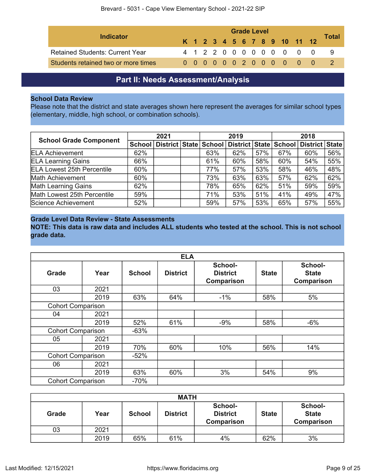| Indicator                              |  |  |  | <b>Grade Level</b> |  |  |                              |       |
|----------------------------------------|--|--|--|--------------------|--|--|------------------------------|-------|
|                                        |  |  |  |                    |  |  | K 1 2 3 4 5 6 7 8 9 10 11 12 | Total |
| <b>Retained Students: Current Year</b> |  |  |  |                    |  |  | 4 1 2 2 0 0 0 0 0 0 0 0 0    |       |
| Students retained two or more times    |  |  |  |                    |  |  | 0 0 0 0 0 0 2 0 0 0 0 0 0 0  |       |

## **Part II: Needs Assessment/Analysis**

## <span id="page-8-0"></span>**School Data Review**

Please note that the district and state averages shown here represent the averages for similar school types (elementary, middle, high school, or combination schools).

|                                   | 2021 |                           |  | 2019   |                           |     | 2018 |                |     |
|-----------------------------------|------|---------------------------|--|--------|---------------------------|-----|------|----------------|-----|
| <b>School Grade Component</b>     |      | School   District   State |  | School | District   State   School |     |      | District State |     |
| <b>ELA Achievement</b>            | 62%  |                           |  | 63%    | 62%                       | 57% | 67%  | 60%            | 56% |
| <b>ELA Learning Gains</b>         | 66%  |                           |  | 61%    | 60%                       | 58% | 60%  | 54%            | 55% |
| <b>ELA Lowest 25th Percentile</b> | 60%  |                           |  | 77%    | 57%                       | 53% | 58%  | 46%            | 48% |
| Math Achievement                  | 60%  |                           |  | 73%    | 63%                       | 63% | 57%  | 62%            | 62% |
| <b>Math Learning Gains</b>        | 62%  |                           |  | 78%    | 65%                       | 62% | 51%  | 59%            | 59% |
| Math Lowest 25th Percentile       | 59%  |                           |  | 71%    | 53%                       | 51% | 41%  | 49%            | 47% |
| Science Achievement               | 52%  |                           |  | 59%    | 57%                       | 53% | 65%  | 57%            | 55% |

## **Grade Level Data Review - State Assessments**

**NOTE: This data is raw data and includes ALL students who tested at the school. This is not school grade data.**

|                          |      |               | <b>ELA</b>      |                                                 |              |                                       |
|--------------------------|------|---------------|-----------------|-------------------------------------------------|--------------|---------------------------------------|
| <b>Grade</b>             | Year | <b>School</b> | <b>District</b> | School-<br><b>District</b><br><b>Comparison</b> | <b>State</b> | School-<br><b>State</b><br>Comparison |
| 03                       | 2021 |               |                 |                                                 |              |                                       |
|                          | 2019 | 63%           | 64%             | $-1%$                                           | 58%          | 5%                                    |
| <b>Cohort Comparison</b> |      |               |                 |                                                 |              |                                       |
| 04                       | 2021 |               |                 |                                                 |              |                                       |
|                          | 2019 | 52%           | 61%             | $-9%$                                           | 58%          | $-6%$                                 |
| <b>Cohort Comparison</b> |      | $-63%$        |                 |                                                 |              |                                       |
| 05                       | 2021 |               |                 |                                                 |              |                                       |
|                          | 2019 | 70%           | 60%             | 10%                                             | 56%          | 14%                                   |
| <b>Cohort Comparison</b> |      | $-52%$        |                 |                                                 |              |                                       |
| 06                       | 2021 |               |                 |                                                 |              |                                       |
|                          | 2019 | 63%           | 60%             | 3%                                              | 54%          | 9%                                    |
| <b>Cohort Comparison</b> |      | $-70%$        |                 |                                                 |              |                                       |

| <b>MATH</b> |      |               |                 |                                                 |              |                                              |  |  |  |  |
|-------------|------|---------------|-----------------|-------------------------------------------------|--------------|----------------------------------------------|--|--|--|--|
| Grade       | Year | <b>School</b> | <b>District</b> | School-<br><b>District</b><br><b>Comparison</b> | <b>State</b> | School-<br><b>State</b><br><b>Comparison</b> |  |  |  |  |
| 03          | 2021 |               |                 |                                                 |              |                                              |  |  |  |  |
|             | 2019 | 65%           | 61%             | 4%                                              | 62%          | 3%                                           |  |  |  |  |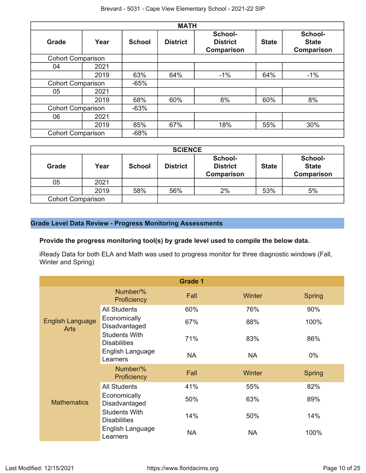|                          |      |               | <b>MATH</b>     |                                                 |              |                                              |
|--------------------------|------|---------------|-----------------|-------------------------------------------------|--------------|----------------------------------------------|
| <b>Grade</b>             | Year | <b>School</b> | <b>District</b> | School-<br><b>District</b><br><b>Comparison</b> | <b>State</b> | School-<br><b>State</b><br><b>Comparison</b> |
| <b>Cohort Comparison</b> |      |               |                 |                                                 |              |                                              |
| 04                       | 2021 |               |                 |                                                 |              |                                              |
|                          | 2019 | 63%           | 64%             | $-1\%$                                          | 64%          | $-1%$                                        |
| <b>Cohort Comparison</b> |      | $-65%$        |                 |                                                 |              |                                              |
| 05                       | 2021 |               |                 |                                                 |              |                                              |
|                          | 2019 | 68%           | 60%             | 8%                                              | 60%          | 8%                                           |
| <b>Cohort Comparison</b> |      | $-63%$        |                 |                                                 |              |                                              |
| 06                       | 2021 |               |                 |                                                 |              |                                              |
|                          | 2019 | 85%           | 67%             | 18%                                             | 55%          | 30%                                          |
| <b>Cohort Comparison</b> |      | $-68%$        |                 |                                                 |              |                                              |

|                          |      |               | <b>SCIENCE</b>  |                                          |              |                                              |
|--------------------------|------|---------------|-----------------|------------------------------------------|--------------|----------------------------------------------|
| <b>Grade</b>             | Year | <b>School</b> | <b>District</b> | School-<br><b>District</b><br>Comparison | <b>State</b> | School-<br><b>State</b><br><b>Comparison</b> |
| 05                       | 2021 |               |                 |                                          |              |                                              |
|                          | 2019 | 58%           | 56%             | 2%                                       | 53%          | 5%                                           |
| <b>Cohort Comparison</b> |      |               |                 |                                          |              |                                              |

## **Grade Level Data Review - Progress Monitoring Assessments**

## **Provide the progress monitoring tool(s) by grade level used to compile the below data.**

iReady Data for both ELA and Math was used to progress monitor for three diagnostic windows (Fall, Winter and Spring)

|                                        |                                             | <b>Grade 1</b> |           |               |
|----------------------------------------|---------------------------------------------|----------------|-----------|---------------|
|                                        | Number/%<br>Proficiency                     | <b>Fall</b>    | Winter    | <b>Spring</b> |
|                                        | <b>All Students</b>                         | 60%            | 76%       | 90%           |
| <b>English Language</b><br><b>Arts</b> | Economically<br>Disadvantaged               | 67%            | 88%       | 100%          |
|                                        | <b>Students With</b><br><b>Disabilities</b> | 71%            | 83%       | 86%           |
|                                        | English Language<br>Learners                | <b>NA</b>      | <b>NA</b> | $0\%$         |
|                                        | Number/%<br>Proficiency                     | Fall           | Winter    | <b>Spring</b> |
|                                        | <b>All Students</b>                         | 41%            | 55%       | 82%           |
| <b>Mathematics</b>                     | Economically<br>Disadvantaged               | 50%            | 63%       | 89%           |
|                                        | <b>Students With</b><br><b>Disabilities</b> | 14%            | 50%       | 14%           |
|                                        | English Language<br>Learners                | <b>NA</b>      | <b>NA</b> | 100%          |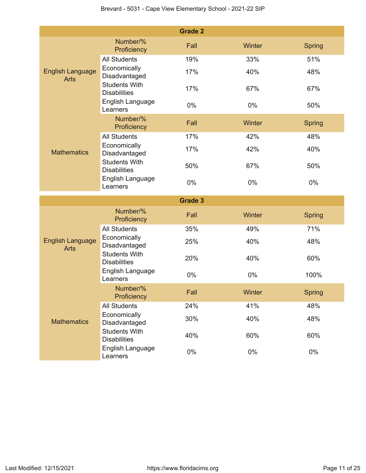|                                        |                                                                 | <b>Grade 2</b> |        |               |  |
|----------------------------------------|-----------------------------------------------------------------|----------------|--------|---------------|--|
| <b>English Language</b><br><b>Arts</b> | Number/%<br>Proficiency                                         | Fall           | Winter | Spring        |  |
|                                        | <b>All Students</b>                                             | 19%            | 33%    | 51%           |  |
|                                        | Economically<br>Disadvantaged                                   | 17%            | 40%    | 48%           |  |
|                                        | <b>Students With</b><br><b>Disabilities</b>                     | 17%            | 67%    | 67%           |  |
|                                        | English Language<br>Learners                                    | 0%             | $0\%$  | 50%           |  |
|                                        | Number/%<br>Proficiency                                         | Fall           | Winter | <b>Spring</b> |  |
|                                        | <b>All Students</b>                                             | 17%            | 42%    | 48%           |  |
| <b>Mathematics</b>                     | Economically<br>Disadvantaged                                   | 17%            | 42%    | 40%           |  |
|                                        | <b>Students With</b><br><b>Disabilities</b>                     | 50%            | 67%    | 50%           |  |
|                                        | English Language<br>Learners                                    | 0%             | 0%     | 0%            |  |
|                                        |                                                                 |                |        |               |  |
|                                        |                                                                 | <b>Grade 3</b> |        |               |  |
|                                        | Number/%<br>Proficiency                                         | Fall           | Winter | <b>Spring</b> |  |
|                                        | <b>All Students</b>                                             | 35%            | 49%    | 71%           |  |
| <b>English Language</b><br><b>Arts</b> | Economically<br>Disadvantaged                                   | 25%            | 40%    | 48%           |  |
|                                        | <b>Students With</b><br><b>Disabilities</b>                     | 20%            | 40%    | 60%           |  |
|                                        | English Language<br>Learners                                    | 0%             | 0%     | 100%          |  |
|                                        | Number/%<br>Proficiency                                         | Fall           | Winter | <b>Spring</b> |  |
|                                        | <b>All Students</b>                                             | 24%            | 41%    | 48%           |  |
| <b>Mathematics</b>                     | Economically<br>Disadvantaged                                   | 30%            | 40%    | 48%           |  |
|                                        | <b>Students With</b><br><b>Disabilities</b><br>English Language | 40%            | 60%    | 60%           |  |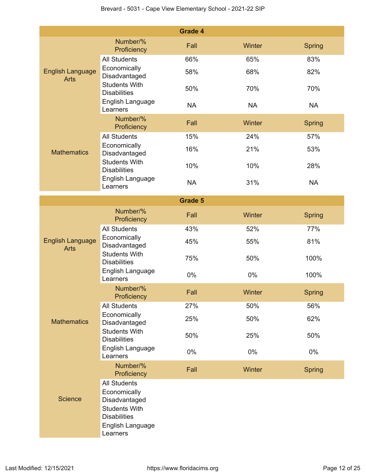|                                        |                                                                                                                                     | <b>Grade 4</b> |           |               |
|----------------------------------------|-------------------------------------------------------------------------------------------------------------------------------------|----------------|-----------|---------------|
|                                        | Number/%<br>Proficiency                                                                                                             | Fall           | Winter    | <b>Spring</b> |
|                                        | <b>All Students</b>                                                                                                                 | 66%            | 65%       | 83%           |
| <b>English Language</b><br><b>Arts</b> | Economically<br>Disadvantaged                                                                                                       | 58%            | 68%       | 82%           |
|                                        | <b>Students With</b><br><b>Disabilities</b>                                                                                         | 50%            | 70%       | 70%           |
|                                        | English Language<br>Learners                                                                                                        | <b>NA</b>      | <b>NA</b> | <b>NA</b>     |
|                                        | Number/%<br>Proficiency                                                                                                             | Fall           | Winter    | <b>Spring</b> |
|                                        | <b>All Students</b>                                                                                                                 | 15%            | 24%       | 57%           |
| <b>Mathematics</b>                     | Economically<br>Disadvantaged                                                                                                       | 16%            | 21%       | 53%           |
|                                        | <b>Students With</b><br><b>Disabilities</b>                                                                                         | 10%            | 10%       | 28%           |
|                                        | English Language<br>Learners                                                                                                        | <b>NA</b>      | 31%       | <b>NA</b>     |
|                                        |                                                                                                                                     | <b>Grade 5</b> |           |               |
|                                        | Number/%<br>Proficiency                                                                                                             | Fall           | Winter    | <b>Spring</b> |
|                                        | <b>All Students</b>                                                                                                                 | 43%            | 52%       | 77%           |
| <b>English Language</b><br><b>Arts</b> | Economically<br>Disadvantaged                                                                                                       | 45%            | 55%       | 81%           |
|                                        | <b>Students With</b><br><b>Disabilities</b>                                                                                         | 75%            | 50%       | 100%          |
|                                        | English Language<br>Learners                                                                                                        | 0%             | 0%        | 100%          |
|                                        | Number/%<br>Proficiency                                                                                                             | Fall           | Winter    | <b>Spring</b> |
|                                        | <b>All Students</b>                                                                                                                 | 27%            | 50%       | 56%           |
| <b>Mathematics</b>                     | Economically<br>Disadvantaged                                                                                                       | 25%            | 50%       | 62%           |
|                                        | <b>Students With</b><br><b>Disabilities</b>                                                                                         | 50%            | 25%       | 50%           |
|                                        | English Language<br>Learners                                                                                                        | 0%             | 0%        | 0%            |
|                                        | Number/%<br>Proficiency                                                                                                             | Fall           | Winter    | <b>Spring</b> |
| <b>Science</b>                         | <b>All Students</b><br>Economically<br>Disadvantaged<br><b>Students With</b><br><b>Disabilities</b><br>English Language<br>Learners |                |           |               |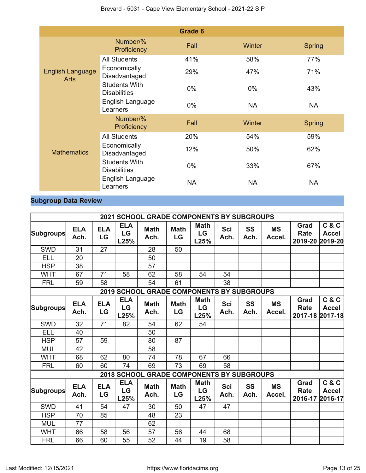|                                        |                                             | Grade 6   |               |               |
|----------------------------------------|---------------------------------------------|-----------|---------------|---------------|
|                                        | Number/%<br>Proficiency                     | Fall      | Winter        | <b>Spring</b> |
|                                        | <b>All Students</b>                         | 41%       | 58%           | 77%           |
| <b>English Language</b><br><b>Arts</b> | Economically<br>Disadvantaged               | 29%       | 47%           | 71%           |
|                                        | <b>Students With</b><br><b>Disabilities</b> | 0%        | $0\%$         | 43%           |
|                                        | English Language<br>Learners                | $0\%$     | <b>NA</b>     | <b>NA</b>     |
|                                        | Number/%<br>Proficiency                     | Fall      | <b>Winter</b> | <b>Spring</b> |
|                                        | <b>All Students</b>                         | 20%       | 54%           | 59%           |
| <b>Mathematics</b>                     | Economically<br>Disadvantaged               | 12%       | 50%           | 62%           |
|                                        | <b>Students With</b><br><b>Disabilities</b> | 0%        | 33%           | 67%           |
|                                        | English Language<br>Learners                | <b>NA</b> | <b>NA</b>     | <b>NA</b>     |

## **Subgroup Data Review**

|                  |                    |                  |                          | 2021 SCHOOL GRADE COMPONENTS BY SUBGROUPS        |                   |                                      |                    |                   |                     |                                 |                       |
|------------------|--------------------|------------------|--------------------------|--------------------------------------------------|-------------------|--------------------------------------|--------------------|-------------------|---------------------|---------------------------------|-----------------------|
| <b>Subgroups</b> | <b>ELA</b><br>Ach. | <b>ELA</b><br>LG | <b>ELA</b><br>LG<br>L25% | <b>Math</b><br>Ach.                              | <b>Math</b><br>LG | <b>Math</b><br><b>LG</b><br>L25%     | <b>Sci</b><br>Ach. | <b>SS</b><br>Ach. | <b>MS</b><br>Accel. | Grad<br>Rate<br>2019-20 2019-20 | C & C<br><b>Accel</b> |
| <b>SWD</b>       | 31                 | 27               |                          | 28                                               | 50                |                                      |                    |                   |                     |                                 |                       |
| <b>ELL</b>       | 20                 |                  |                          | 50                                               |                   |                                      |                    |                   |                     |                                 |                       |
| <b>HSP</b>       | 38                 |                  |                          | 57                                               |                   |                                      |                    |                   |                     |                                 |                       |
| <b>WHT</b>       | 67                 | 71               | 58                       | 62                                               | 58                | 54                                   | 54                 |                   |                     |                                 |                       |
| <b>FRL</b>       | 59                 | 58               |                          | 54                                               | 61                |                                      | 38                 |                   |                     |                                 |                       |
|                  |                    |                  | 2019 SCHOOL              |                                                  |                   | <b>GRADE COMPONENTS BY SUBGROUPS</b> |                    |                   |                     |                                 |                       |
| <b>Subgroups</b> | <b>ELA</b><br>Ach. | <b>ELA</b><br>LG | <b>ELA</b><br>LG<br>L25% | <b>Math</b><br>Ach.                              | <b>Math</b><br>LG | <b>Math</b><br>LG<br>L25%            | <b>Sci</b><br>Ach. | SS<br>Ach.        | <b>MS</b><br>Accel. | Grad<br>Rate<br>2017-18 2017-18 | C & C<br><b>Accel</b> |
| <b>SWD</b>       | 32                 | 71               | 82                       | 54                                               | 62                | 54                                   |                    |                   |                     |                                 |                       |
| <b>ELL</b>       | 40                 |                  |                          | 50                                               |                   |                                      |                    |                   |                     |                                 |                       |
| <b>HSP</b>       | 57                 | 59               |                          | 80                                               | 87                |                                      |                    |                   |                     |                                 |                       |
| <b>MUL</b>       | 42                 |                  |                          | 58                                               |                   |                                      |                    |                   |                     |                                 |                       |
| <b>WHT</b>       | 68                 | 62               | 80                       | 74                                               | 78                | 67                                   | 66                 |                   |                     |                                 |                       |
| <b>FRL</b>       | 60                 | 60               | 74                       | 69                                               | 73                | 69                                   | 58                 |                   |                     |                                 |                       |
|                  |                    |                  |                          | <b>2018 SCHOOL GRADE COMPONENTS BY SUBGROUPS</b> |                   |                                      |                    |                   |                     |                                 |                       |
| Subgroups        | <b>ELA</b><br>Ach. | <b>ELA</b><br>LG | <b>ELA</b><br>LG<br>L25% | <b>Math</b><br>Ach.                              | <b>Math</b><br>LG | <b>Math</b><br>LG<br>L25%            | <b>Sci</b><br>Ach. | <b>SS</b><br>Ach. | <b>MS</b><br>Accel. | Grad<br>Rate<br>2016-17 2016-17 | C & C<br><b>Accel</b> |
| <b>SWD</b>       | 41                 | 54               | 47                       | 30                                               | 50                | 47                                   | 47                 |                   |                     |                                 |                       |
| <b>HSP</b>       | 70                 | 85               |                          | 48                                               | 23                |                                      |                    |                   |                     |                                 |                       |
| <b>MUL</b>       | 77                 |                  |                          | 62                                               |                   |                                      |                    |                   |                     |                                 |                       |
| <b>WHT</b>       | 66                 | 58               | 56                       | 57                                               | 56                | 44                                   | 68                 |                   |                     |                                 |                       |
| <b>FRL</b>       | 66                 | 60               | 55                       | 52                                               | 44                | 19                                   | 58                 |                   |                     |                                 |                       |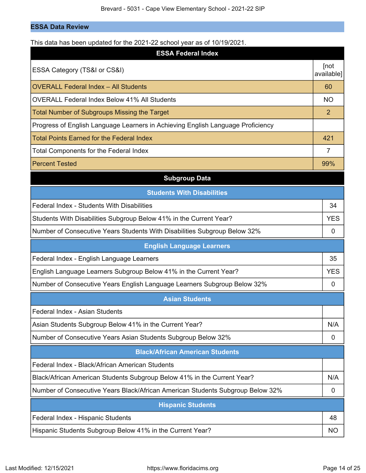## **ESSA Data Review**

| This data has been updated for the 2021-22 school year as of 10/19/2021.        |                    |
|---------------------------------------------------------------------------------|--------------------|
| <b>ESSA Federal Index</b>                                                       |                    |
| ESSA Category (TS&I or CS&I)                                                    | [not<br>available] |
| <b>OVERALL Federal Index - All Students</b>                                     | 60                 |
| <b>OVERALL Federal Index Below 41% All Students</b>                             | <b>NO</b>          |
| <b>Total Number of Subgroups Missing the Target</b>                             | 2                  |
| Progress of English Language Learners in Achieving English Language Proficiency |                    |
| <b>Total Points Earned for the Federal Index</b>                                | 421                |
| <b>Total Components for the Federal Index</b>                                   | $\overline{7}$     |
| <b>Percent Tested</b>                                                           | 99%                |
| <b>Subgroup Data</b>                                                            |                    |
| <b>Students With Disabilities</b>                                               |                    |
| Federal Index - Students With Disabilities                                      | 34                 |
| Students With Disabilities Subgroup Below 41% in the Current Year?              | <b>YES</b>         |
| Number of Consecutive Years Students With Disabilities Subgroup Below 32%       | 0                  |
| <b>English Language Learners</b>                                                |                    |
| Federal Index - English Language Learners                                       | 35                 |
| English Language Learners Subgroup Below 41% in the Current Year?               | <b>YES</b>         |
| Number of Consecutive Years English Language Learners Subgroup Below 32%        |                    |
|                                                                                 | 0                  |
| <b>Asian Students</b>                                                           |                    |
| Federal Index - Asian Students                                                  |                    |
| Asian Students Subgroup Below 41% in the Current Year?                          | N/A                |
| Number of Consecutive Years Asian Students Subgroup Below 32%                   | 0                  |
| <b>Black/African American Students</b>                                          |                    |
| Federal Index - Black/African American Students                                 |                    |
| Black/African American Students Subgroup Below 41% in the Current Year?         | N/A                |
| Number of Consecutive Years Black/African American Students Subgroup Below 32%  | 0                  |
| <b>Hispanic Students</b>                                                        |                    |
| Federal Index - Hispanic Students                                               | 48                 |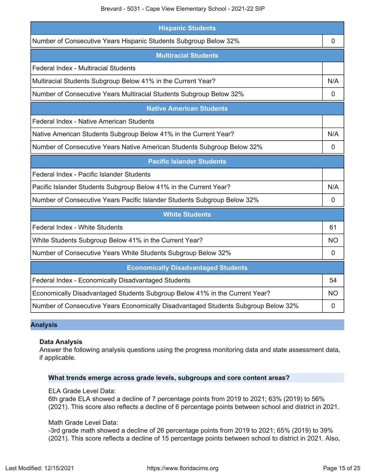| <b>Hispanic Students</b>                                                           |                |  |  |  |  |  |  |
|------------------------------------------------------------------------------------|----------------|--|--|--|--|--|--|
| Number of Consecutive Years Hispanic Students Subgroup Below 32%                   | 0              |  |  |  |  |  |  |
| <b>Multiracial Students</b>                                                        |                |  |  |  |  |  |  |
| Federal Index - Multiracial Students                                               |                |  |  |  |  |  |  |
| Multiracial Students Subgroup Below 41% in the Current Year?                       | N/A            |  |  |  |  |  |  |
| Number of Consecutive Years Multiracial Students Subgroup Below 32%                | $\mathbf 0$    |  |  |  |  |  |  |
| <b>Native American Students</b>                                                    |                |  |  |  |  |  |  |
| Federal Index - Native American Students                                           |                |  |  |  |  |  |  |
| Native American Students Subgroup Below 41% in the Current Year?                   | N/A            |  |  |  |  |  |  |
| Number of Consecutive Years Native American Students Subgroup Below 32%            | $\overline{0}$ |  |  |  |  |  |  |
| <b>Pacific Islander Students</b>                                                   |                |  |  |  |  |  |  |
| Federal Index - Pacific Islander Students                                          |                |  |  |  |  |  |  |
| Pacific Islander Students Subgroup Below 41% in the Current Year?                  | N/A            |  |  |  |  |  |  |
| Number of Consecutive Years Pacific Islander Students Subgroup Below 32%           | 0              |  |  |  |  |  |  |
| <b>White Students</b>                                                              |                |  |  |  |  |  |  |
| Federal Index - White Students                                                     | 61             |  |  |  |  |  |  |
| White Students Subgroup Below 41% in the Current Year?                             | <b>NO</b>      |  |  |  |  |  |  |
| Number of Consecutive Years White Students Subgroup Below 32%                      | $\mathbf 0$    |  |  |  |  |  |  |
| <b>Economically Disadvantaged Students</b>                                         |                |  |  |  |  |  |  |
| Federal Index - Economically Disadvantaged Students                                | 54             |  |  |  |  |  |  |
| Economically Disadvantaged Students Subgroup Below 41% in the Current Year?        | <b>NO</b>      |  |  |  |  |  |  |
| Number of Consecutive Years Economically Disadvantaged Students Subgroup Below 32% | $\mathbf 0$    |  |  |  |  |  |  |

## **Analysis**

#### **Data Analysis**

Answer the following analysis questions using the progress monitoring data and state assessment data, if applicable.

#### **What trends emerge across grade levels, subgroups and core content areas?**

## ELA Grade Level Data:

6th grade ELA showed a decline of 7 percentage points from 2019 to 2021; 63% (2019) to 56% (2021). This score also reflects a decline of 6 percentage points between school and district in 2021.

#### Math Grade Level Data:

-3rd grade math showed a decline of 26 percentage points from 2019 to 2021; 65% (2019) to 39% (2021). This score reflects a decline of 15 percentage points between school to district in 2021. Also,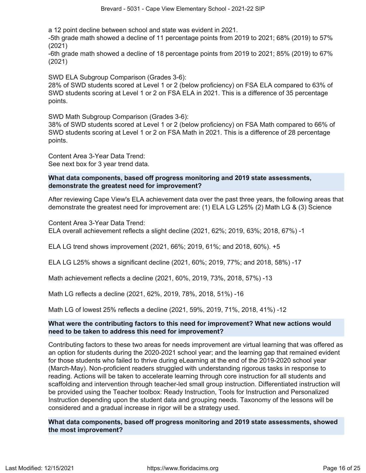a 12 point decline between school and state was evident in 2021.

-5th grade math showed a decline of 11 percentage points from 2019 to 2021; 68% (2019) to 57% (2021)

-6th grade math showed a decline of 18 percentage points from 2019 to 2021; 85% (2019) to 67% (2021)

SWD ELA Subgroup Comparison (Grades 3-6):

28% of SWD students scored at Level 1 or 2 (below proficiency) on FSA ELA compared to 63% of SWD students scoring at Level 1 or 2 on FSA ELA in 2021. This is a difference of 35 percentage points.

SWD Math Subgroup Comparison (Grades 3-6):

38% of SWD students scored at Level 1 or 2 (below proficiency) on FSA Math compared to 66% of SWD students scoring at Level 1 or 2 on FSA Math in 2021. This is a difference of 28 percentage points.

Content Area 3-Year Data Trend: See next box for 3 year trend data.

## **What data components, based off progress monitoring and 2019 state assessments, demonstrate the greatest need for improvement?**

After reviewing Cape View's ELA achievement data over the past three years, the following areas that demonstrate the greatest need for improvement are: (1) ELA LG L25% (2) Math LG & (3) Science

Content Area 3-Year Data Trend: ELA overall achievement reflects a slight decline (2021, 62%; 2019, 63%; 2018, 67%) -1

ELA LG trend shows improvement (2021, 66%; 2019, 61%; and 2018, 60%). +5

ELA LG L25% shows a significant decline (2021, 60%; 2019, 77%; and 2018, 58%) -17

Math achievement reflects a decline (2021, 60%, 2019, 73%, 2018, 57%) -13

Math LG reflects a decline (2021, 62%, 2019, 78%, 2018, 51%) -16

Math LG of lowest 25% reflects a decline (2021, 59%, 2019, 71%, 2018, 41%) -12

## **What were the contributing factors to this need for improvement? What new actions would need to be taken to address this need for improvement?**

Contributing factors to these two areas for needs improvement are virtual learning that was offered as an option for students during the 2020-2021 school year; and the learning gap that remained evident for those students who failed to thrive during eLearning at the end of the 2019-2020 school year (March-May). Non-proficient readers struggled with understanding rigorous tasks in response to reading. Actions will be taken to accelerate learning through core instruction for all students and scaffolding and intervention through teacher-led small group instruction. Differentiated instruction will be provided using the Teacher toolbox: Ready Instruction, Tools for Instruction and Personalized Instruction depending upon the student data and grouping needs. Taxonomy of the lessons will be considered and a gradual increase in rigor will be a strategy used.

**What data components, based off progress monitoring and 2019 state assessments, showed the most improvement?**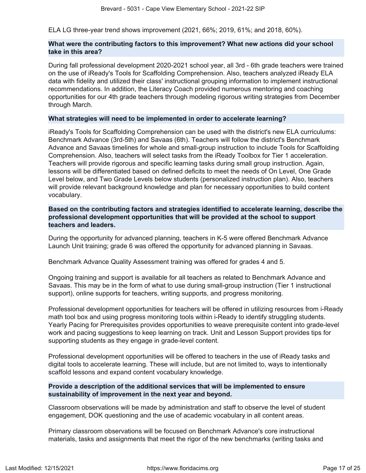ELA LG three-year trend shows improvement (2021, 66%; 2019, 61%; and 2018, 60%).

## **What were the contributing factors to this improvement? What new actions did your school take in this area?**

During fall professional development 2020-2021 school year, all 3rd - 6th grade teachers were trained on the use of iReady's Tools for Scaffolding Comprehension. Also, teachers analyzed iReady ELA data with fidelity and utilized their class' instructional grouping information to implement instructional recommendations. In addition, the Literacy Coach provided numerous mentoring and coaching opportunities for our 4th grade teachers through modeling rigorous writing strategies from December through March.

#### **What strategies will need to be implemented in order to accelerate learning?**

iReady's Tools for Scaffolding Comprehension can be used with the district's new ELA curriculums: Benchmark Advance (3rd-5th) and Savaas (6th). Teachers will follow the district's Benchmark Advance and Savaas timelines for whole and small-group instruction to include Tools for Scaffolding Comprehension. Also, teachers will select tasks from the iReady Toolbox for Tier 1 acceleration. Teachers will provide rigorous and specific learning tasks during small group instruction. Again, lessons will be differentiated based on defined deficits to meet the needs of On Level, One Grade Level below, and Two Grade Levels below students (personalized instruction plan). Also, teachers will provide relevant background knowledge and plan for necessary opportunities to build content vocabulary.

**Based on the contributing factors and strategies identified to accelerate learning, describe the professional development opportunities that will be provided at the school to support teachers and leaders.**

During the opportunity for advanced planning, teachers in K-5 were offered Benchmark Advance Launch Unit training; grade 6 was offered the opportunity for advanced planning in Savaas.

Benchmark Advance Quality Assessment training was offered for grades 4 and 5.

Ongoing training and support is available for all teachers as related to Benchmark Advance and Savaas. This may be in the form of what to use during small-group instruction (Tier 1 instructional support), online supports for teachers, writing supports, and progress monitoring.

Professional development opportunities for teachers will be offered in utilizing resources from i-Ready math tool box and using progress monitoring tools within i-Ready to identify struggling students. Yearly Pacing for Prerequisites provides opportunities to weave prerequisite content into grade-level work and pacing suggestions to keep learning on track. Unit and Lesson Support provides tips for supporting students as they engage in grade-level content.

Professional development opportunities will be offered to teachers in the use of iReady tasks and digital tools to accelerate learning. These will include, but are not limited to, ways to intentionally scaffold lessons and expand content vocabulary knowledge.

## **Provide a description of the additional services that will be implemented to ensure sustainability of improvement in the next year and beyond.**

Classroom observations will be made by administration and staff to observe the level of student engagement, DOK questioning and the use of academic vocabulary in all content areas.

Primary classroom observations will be focused on Benchmark Advance's core instructional materials, tasks and assignments that meet the rigor of the new benchmarks (writing tasks and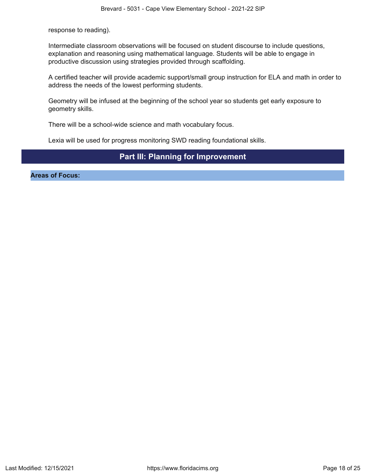response to reading).

Intermediate classroom observations will be focused on student discourse to include questions, explanation and reasoning using mathematical language. Students will be able to engage in productive discussion using strategies provided through scaffolding.

A certified teacher will provide academic support/small group instruction for ELA and math in order to address the needs of the lowest performing students.

Geometry will be infused at the beginning of the school year so students get early exposure to geometry skills.

There will be a school-wide science and math vocabulary focus.

Lexia will be used for progress monitoring SWD reading foundational skills.

## **Part III: Planning for Improvement**

<span id="page-17-0"></span>**Areas of Focus:**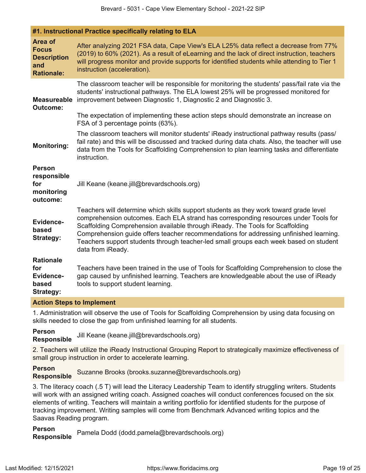| #1. Instructional Practice specifically relating to ELA                   |                                                                                                                                                                                                                                                                                                                                                                                                                                                                       |  |
|---------------------------------------------------------------------------|-----------------------------------------------------------------------------------------------------------------------------------------------------------------------------------------------------------------------------------------------------------------------------------------------------------------------------------------------------------------------------------------------------------------------------------------------------------------------|--|
| Area of<br><b>Focus</b><br><b>Description</b><br>and<br><b>Rationale:</b> | After analyzing 2021 FSA data, Cape View's ELA L25% data reflect a decrease from 77%<br>(2019) to 60% (2021). As a result of eLearning and the lack of direct instruction, teachers<br>will progress monitor and provide supports for identified students while attending to Tier 1<br>instruction (acceleration).                                                                                                                                                    |  |
| <b>Measureable</b><br><b>Outcome:</b>                                     | The classroom teacher will be responsible for monitoring the students' pass/fail rate via the<br>students' instructional pathways. The ELA lowest 25% will be progressed monitored for<br>improvement between Diagnostic 1, Diagnostic 2 and Diagnostic 3.<br>The expectation of implementing these action steps should demonstrate an increase on<br>FSA of 3 percentage points (63%).                                                                               |  |
| <b>Monitoring:</b>                                                        | The classroom teachers will monitor students' iReady instructional pathway results (pass/<br>fail rate) and this will be discussed and tracked during data chats. Also, the teacher will use<br>data from the Tools for Scaffolding Comprehension to plan learning tasks and differentiate<br>instruction.                                                                                                                                                            |  |
| <b>Person</b><br>responsible<br>for<br>monitoring<br>outcome:             | Jill Keane (keane.jill@brevardschools.org)                                                                                                                                                                                                                                                                                                                                                                                                                            |  |
| <b>Evidence-</b><br>based<br><b>Strategy:</b>                             | Teachers will determine which skills support students as they work toward grade level<br>comprehension outcomes. Each ELA strand has corresponding resources under Tools for<br>Scaffolding Comprehension available through iReady. The Tools for Scaffolding<br>Comprehension guide offers teacher recommendations for addressing unfinished learning.<br>Teachers support students through teacher-led small groups each week based on student<br>data from iReady. |  |
| <b>Rationale</b><br>for<br><b>Evidence-</b><br>based<br><b>Strategy:</b>  | Teachers have been trained in the use of Tools for Scaffolding Comprehension to close the<br>gap caused by unfinished learning. Teachers are knowledgeable about the use of iReady<br>tools to support student learning.                                                                                                                                                                                                                                              |  |

## **Action Steps to Implement**

1. Administration will observe the use of Tools for Scaffolding Comprehension by using data focusing on skills needed to close the gap from unfinished learning for all students.

**Person Responsible** Jill Keane (keane.jill@brevardschools.org)

2. Teachers will utilize the iReady Instructional Grouping Report to strategically maximize effectiveness of small group instruction in order to accelerate learning.

**Person Responsible** Suzanne Brooks (brooks.suzanne@brevardschools.org)

3. The literacy coach (.5 T) will lead the Literacy Leadership Team to identify struggling writers. Students will work with an assigned writing coach. Assigned coaches will conduct conferences focused on the six elements of writing. Teachers will maintain a writing portfolio for identified students for the purpose of tracking improvement. Writing samples will come from Benchmark Advanced writing topics and the Saavas Reading program.

**Person Responsible** Pamela Dodd (dodd.pamela@brevardschools.org)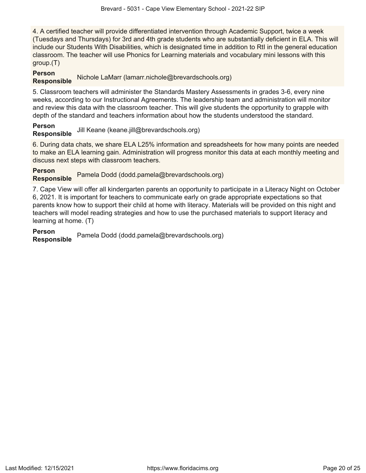4. A certified teacher will provide differentiated intervention through Academic Support, twice a week (Tuesdays and Thursdays) for 3rd and 4th grade students who are substantially deficient in ELA. This will include our Students With Disabilities, which is designated time in addition to RtI in the general education classroom. The teacher will use Phonics for Learning materials and vocabulary mini lessons with this group.(T)

## **Person**

**Responsible** Nichole LaMarr (lamarr.nichole@brevardschools.org)

5. Classroom teachers will administer the Standards Mastery Assessments in grades 3-6, every nine weeks, according to our Instructional Agreements. The leadership team and administration will monitor and review this data with the classroom teacher. This will give students the opportunity to grapple with depth of the standard and teachers information about how the students understood the standard.

**Person Responsible** Jill Keane (keane.jill@brevardschools.org)

6. During data chats, we share ELA L25% information and spreadsheets for how many points are needed to make an ELA learning gain. Administration will progress monitor this data at each monthly meeting and discuss next steps with classroom teachers.

**Person Responsible** Pamela Dodd (dodd.pamela@brevardschools.org)

7. Cape View will offer all kindergarten parents an opportunity to participate in a Literacy Night on October 6, 2021. It is important for teachers to communicate early on grade appropriate expectations so that parents know how to support their child at home with literacy. Materials will be provided on this night and teachers will model reading strategies and how to use the purchased materials to support literacy and learning at home. (T)

**Person Responsible** Pamela Dodd (dodd.pamela@brevardschools.org)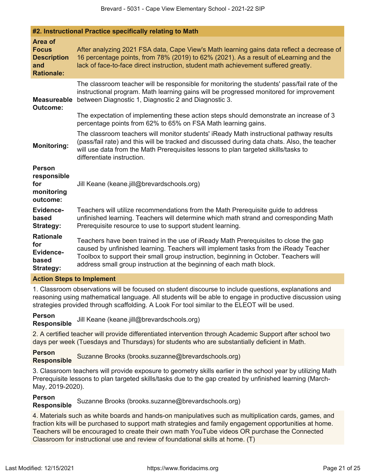| #2. Instructional Practice specifically relating to Math                  |                                                                                                                                                                                                                                                                                                                                              |  |
|---------------------------------------------------------------------------|----------------------------------------------------------------------------------------------------------------------------------------------------------------------------------------------------------------------------------------------------------------------------------------------------------------------------------------------|--|
| Area of<br><b>Focus</b><br><b>Description</b><br>and<br><b>Rationale:</b> | After analyzing 2021 FSA data, Cape View's Math learning gains data reflect a decrease of<br>16 percentage points, from 78% (2019) to 62% (2021). As a result of eLearning and the<br>lack of face-to-face direct instruction, student math achievement suffered greatly.                                                                    |  |
| <b>Measureable</b><br><b>Outcome:</b>                                     | The classroom teacher will be responsible for monitoring the students' pass/fail rate of the<br>instructional program. Math learning gains will be progressed monitored for improvement<br>between Diagnostic 1, Diagnostic 2 and Diagnostic 3.                                                                                              |  |
|                                                                           | The expectation of implementing these action steps should demonstrate an increase of 3<br>percentage points from 62% to 65% on FSA Math learning gains.                                                                                                                                                                                      |  |
| <b>Monitoring:</b>                                                        | The classroom teachers will monitor students' iReady Math instructional pathway results<br>(pass/fail rate) and this will be tracked and discussed during data chats. Also, the teacher<br>will use data from the Math Prerequisites lessons to plan targeted skills/tasks to<br>differentiate instruction.                                  |  |
| <b>Person</b><br>responsible<br>for<br>monitoring<br>outcome:             | Jill Keane (keane.jill@brevardschools.org)                                                                                                                                                                                                                                                                                                   |  |
| <b>Evidence-</b><br>based<br>Strategy:                                    | Teachers will utilize recommendations from the Math Prerequisite guide to address<br>unfinished learning. Teachers will determine which math strand and corresponding Math<br>Prerequisite resource to use to support student learning.                                                                                                      |  |
| <b>Rationale</b><br>for<br><b>Evidence-</b><br>based<br><b>Strategy:</b>  | Teachers have been trained in the use of iReady Math Prerequisites to close the gap<br>caused by unfinished learning. Teachers will implement tasks from the iReady Teacher<br>Toolbox to support their small group instruction, beginning in October. Teachers will<br>address small group instruction at the beginning of each math block. |  |

## **Action Steps to Implement**

1. Classroom observations will be focused on student discourse to include questions, explanations and reasoning using mathematical language. All students will be able to engage in productive discussion using strategies provided through scaffolding. A Look For tool similar to the ELEOT will be used.

**Person Responsible** Jill Keane (keane.jill@brevardschools.org)

2. A certified teacher will provide differentiated intervention through Academic Support after school two days per week (Tuesdays and Thursdays) for students who are substantially deficient in Math.

**Person Responsible** Suzanne Brooks (brooks.suzanne@brevardschools.org)

3. Classroom teachers will provide exposure to geometry skills earlier in the school year by utilizing Math Prerequisite lessons to plan targeted skills/tasks due to the gap created by unfinished learning (March-May, 2019-2020).

## **Person**

**Responsible** Suzanne Brooks (brooks.suzanne@brevardschools.org)

4. Materials such as white boards and hands-on manipulatives such as multiplication cards, games, and fraction kits will be purchased to support math strategies and family engagement opportunities at home. Teachers will be encouraged to create their own math YouTube videos OR purchase the Connected Classroom for instructional use and review of foundational skills at home. (T)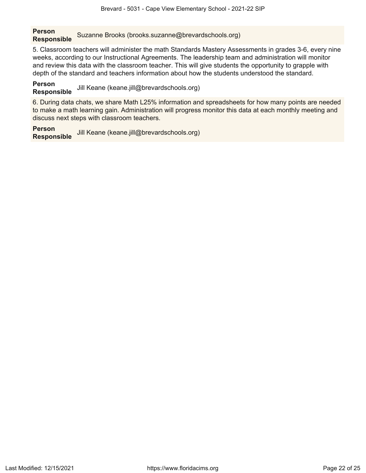**Person Responsible** Suzanne Brooks (brooks.suzanne@brevardschools.org)

5. Classroom teachers will administer the math Standards Mastery Assessments in grades 3-6, every nine weeks, according to our Instructional Agreements. The leadership team and administration will monitor and review this data with the classroom teacher. This will give students the opportunity to grapple with depth of the standard and teachers information about how the students understood the standard.

**Person Responsible** Jill Keane (keane.jill@brevardschools.org)

6. During data chats, we share Math L25% information and spreadsheets for how many points are needed to make a math learning gain. Administration will progress monitor this data at each monthly meeting and discuss next steps with classroom teachers.

**Person Responsible** Jill Keane (keane.jill@brevardschools.org)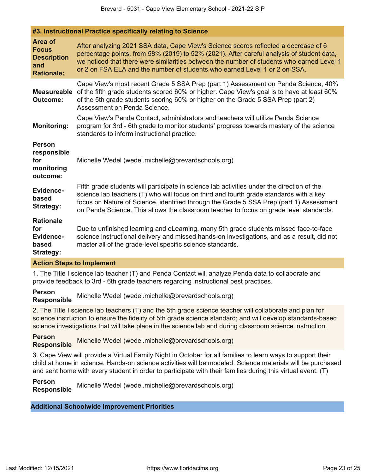|                                                                           | <b>#3. Misuacuonal Practice specifically relating to Science</b>                                                                                                                                                                                                                                                                                                          |  |
|---------------------------------------------------------------------------|---------------------------------------------------------------------------------------------------------------------------------------------------------------------------------------------------------------------------------------------------------------------------------------------------------------------------------------------------------------------------|--|
| Area of<br><b>Focus</b><br><b>Description</b><br>and<br><b>Rationale:</b> | After analyzing 2021 SSA data, Cape View's Science scores reflected a decrease of 6<br>percentage points, from 58% (2019) to 52% (2021). After careful analysis of student data,<br>we noticed that there were similarities between the number of students who earned Level 1<br>or 2 on FSA ELA and the number of students who earned Level 1 or 2 on SSA.               |  |
| <b>Measureable</b><br><b>Outcome:</b>                                     | Cape View's most recent Grade 5 SSA Prep (part 1) Assessment on Penda Science, 40%<br>of the fifth grade students scored 60% or higher. Cape View's goal is to have at least 60%<br>of the 5th grade students scoring 60% or higher on the Grade 5 SSA Prep (part 2)<br>Assessment on Penda Science.                                                                      |  |
| <b>Monitoring:</b>                                                        | Cape View's Penda Contact, administrators and teachers will utilize Penda Science<br>program for 3rd - 6th grade to monitor students' progress towards mastery of the science<br>standards to inform instructional practice.                                                                                                                                              |  |
| <b>Person</b><br>responsible<br>for<br>monitoring<br>outcome:             | Michelle Wedel (wedel.michelle@brevardschools.org)                                                                                                                                                                                                                                                                                                                        |  |
| <b>Evidence-</b><br>based<br><b>Strategy:</b>                             | Fifth grade students will participate in science lab activities under the direction of the<br>science lab teachers (T) who will focus on third and fourth grade standards with a key<br>focus on Nature of Science, identified through the Grade 5 SSA Prep (part 1) Assessment<br>on Penda Science. This allows the classroom teacher to focus on grade level standards. |  |
| <b>Rationale</b><br>for<br>Evidence-<br>based<br><b>Strategy:</b>         | Due to unfinished learning and eLearning, many 5th grade students missed face-to-face<br>science instructional delivery and missed hands-on investigations, and as a result, did not<br>master all of the grade-level specific science standards.                                                                                                                         |  |
| <b>Action Steps to Implement</b>                                          |                                                                                                                                                                                                                                                                                                                                                                           |  |

1. The Title I science lab teacher (T) and Penda Contact will analyze Penda data to collaborate and provide feedback to 3rd - 6th grade teachers regarding instructional best practices.

#### **Person**

**Responsible** Michelle Wedel (wedel.michelle@brevardschools.org)

**#3. Instructional Practice specifically relating to Science**

2. The Title I science lab teachers (T) and the 5th grade science teacher will collaborate and plan for science instruction to ensure the fidelity of 5th grade science standard; and will develop standards-based science investigations that will take place in the science lab and during classroom science instruction.

**Person Responsible** Michelle Wedel (wedel.michelle@brevardschools.org)

3. Cape View will provide a Virtual Family Night in October for all families to learn ways to support their child at home in science. Hands-on science activities will be modeled. Science materials will be purchased and sent home with every student in order to participate with their families during this virtual event. (T)

## **Person**

**Responsible** Michelle Wedel (wedel.michelle@brevardschools.org)

## **Additional Schoolwide Improvement Priorities**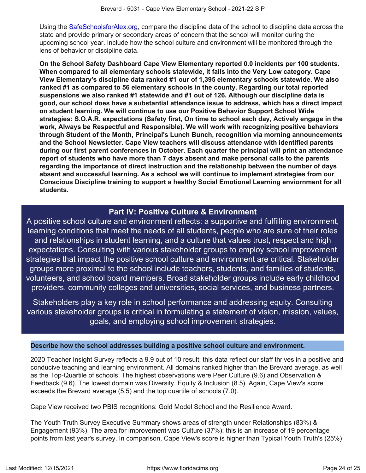Using the [SafeSchoolsforAlex.org](https://www.safeschoolsforalex.org/fl-school-safety-dashboard/), compare the discipline data of the school to discipline data across the state and provide primary or secondary areas of concern that the school will monitor during the upcoming school year. Include how the school culture and environment will be monitored through the lens of behavior or discipline data.

**On the School Safety Dashboard Cape View Elementary reported 0.0 incidents per 100 students. When compared to all elementary schools statewide, it falls into the Very Low category. Cape View Elementary's discipline data ranked #1 our of 1,395 elementary schools statewide. We also ranked #1 as compared to 56 elementary schools in the county. Regarding our total reported suspensions we also ranked #1 statewide and #1 out of 126. Although our discipline data is good, our school does have a substantial attendance issue to address, which has a direct impact on student learning. We will continue to use our Positive Behavior Support School Wide strategies: S.O.A.R. expectations (Safety first, On time to school each day, Actively engage in the work, Always be Respectful and Responsible). We will work with recognizing positive behaviors through Student of the Month, Principal's Lunch Bunch, recognition via morning announcements and the School Newsletter. Cape View teachers will discuss attendance with identified parents during our first parent conferences in October. Each quarter the principal will print an attendance report of students who have more than 7 days absent and make personal calls to the parents regarding the importance of direct instruction and the relationship between the number of days absent and successful learning. As a school we will continue to implement strategies from our Conscious Discipline training to support a healthy Social Emotional Learning enviornment for all students.**

## **Part IV: Positive Culture & Environment**

<span id="page-23-0"></span>A positive school culture and environment reflects: a supportive and fulfilling environment, learning conditions that meet the needs of all students, people who are sure of their roles and relationships in student learning, and a culture that values trust, respect and high expectations. Consulting with various stakeholder groups to employ school improvement strategies that impact the positive school culture and environment are critical. Stakeholder groups more proximal to the school include teachers, students, and families of students, volunteers, and school board members. Broad stakeholder groups include early childhood providers, community colleges and universities, social services, and business partners.

Stakeholders play a key role in school performance and addressing equity. Consulting various stakeholder groups is critical in formulating a statement of vision, mission, values, goals, and employing school improvement strategies.

## **Describe how the school addresses building a positive school culture and environment.**

2020 Teacher Insight Survey reflects a 9.9 out of 10 result; this data reflect our staff thrives in a positive and conducive teaching and learning environment. All domains ranked higher than the Brevard average, as well as the Top-Quartile of schools. The highest observations were Peer Culture (9.6) and Observation & Feedback (9.6). The lowest domain was Diversity, Equity & Inclusion (8.5). Again, Cape View's score exceeds the Brevard average (5.5) and the top quartile of schools (7.0).

Cape View received two PBIS recognitions: Gold Model School and the Resilience Award.

The Youth Truth Survey Executive Summary shows areas of strength under Relationships (83%) & Engagement (93%). The area for improvement was Culture (37%); this is an increase of 19 percentage points from last year's survey. In comparison, Cape View's score is higher than Typical Youth Truth's (25%)